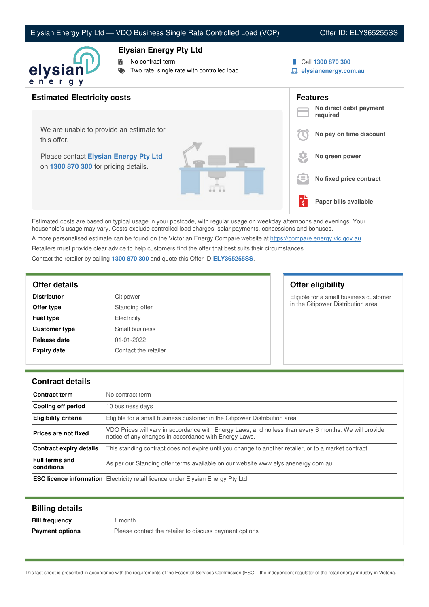# Elysian Energy Pty Ltd — VDO Business Single Rate Controlled Load (VCP) Offer ID: ELY365255SS



### **Elysian Energy Pty Ltd**

No contract term

- Two rate: single rate with controlled load
- Call **1300 870 300**
- **elysianenergy.com.au**

| <b>Estimated Electricity costs</b>                                            | <b>Features</b><br>No direct debit payment |
|-------------------------------------------------------------------------------|--------------------------------------------|
|                                                                               | required                                   |
| We are unable to provide an estimate for<br>this offer.                       | No pay on time discount                    |
| Please contact Elysian Energy Pty Ltd<br>on 1300 870 300 for pricing details. | No green power                             |
|                                                                               | 1 =<br>No fixed price contract             |
|                                                                               | Paper bills available<br>\$                |

Estimated costs are based on typical usage in your postcode, with regular usage on weekday afternoons and evenings. Your household's usage may vary. Costs exclude controlled load charges, solar payments, concessions and bonuses.

A more personalised estimate can be found on the Victorian Energy Compare website at <https://compare.energy.vic.gov.au>.

Retailers must provide clear advice to help customers find the offer that best suits their circumstances.

Contact the retailer by calling **1300 870 300** and quote this Offer ID **ELY365255SS**.

| <b>Distributor</b>   | Citipower            |
|----------------------|----------------------|
| Offer type           | Standing offer       |
| <b>Fuel type</b>     | Electricity          |
| <b>Customer type</b> | Small business       |
| Release date         | $01 - 01 - 2022$     |
| <b>Expiry date</b>   | Contact the retailer |
|                      |                      |

# **Offer details Offer eligibility**

Eligible for a small business customer in the Citipower Distribution area

#### **Contract details**

| <b>Contract term</b>                | No contract term                                                                                                                                               |  |
|-------------------------------------|----------------------------------------------------------------------------------------------------------------------------------------------------------------|--|
| Cooling off period                  | 10 business days                                                                                                                                               |  |
| <b>Eligibility criteria</b>         | Eligible for a small business customer in the Citipower Distribution area                                                                                      |  |
| Prices are not fixed                | VDO Prices will vary in accordance with Energy Laws, and no less than every 6 months. We will provide<br>notice of any changes in accordance with Energy Laws. |  |
| <b>Contract expiry details</b>      | This standing contract does not expire until you change to another retailer, or to a market contract                                                           |  |
| <b>Full terms and</b><br>conditions | As per our Standing offer terms available on our website www.elysianenergy.com.au                                                                              |  |
|                                     | <b>ESC licence information</b> Electricity retail licence under Elysian Energy Pty Ltd                                                                         |  |

| <b>Billing details</b> |                                                        |
|------------------------|--------------------------------------------------------|
| <b>Bill frequency</b>  | month                                                  |
| <b>Payment options</b> | Please contact the retailer to discuss payment options |